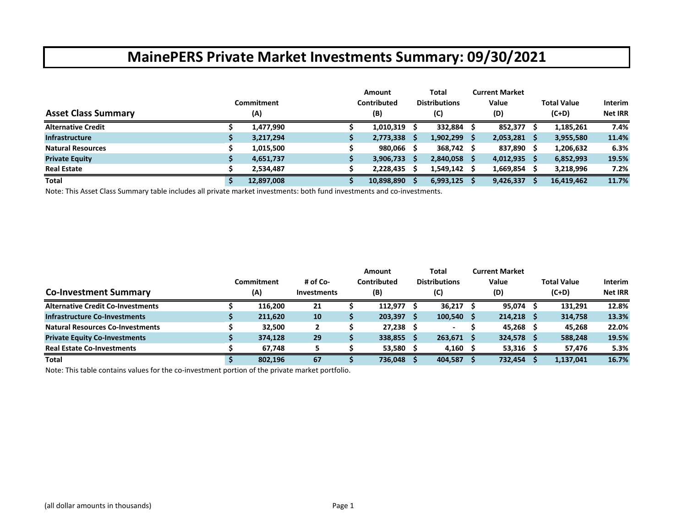|                            | Commitment | <b>Amount</b><br>Contributed |   | Total<br><b>Distributions</b> | <b>Current Market</b><br>Value |     | <b>Total Value</b> | <b>Interim</b> |
|----------------------------|------------|------------------------------|---|-------------------------------|--------------------------------|-----|--------------------|----------------|
| <b>Asset Class Summary</b> | (A)        | (B)                          |   | (C)                           | (D)                            |     | $(C+D)$            | <b>Net IRR</b> |
| <b>Alternative Credit</b>  | 1,477,990  | 1,010,319                    |   | 332,884                       | 852,377                        |     | 1,185,261          | 7.4%           |
| <b>Infrastructure</b>      | 3,217,294  | 2,773,338                    | s | $1,902,299$ \$                | 2,053,281                      | - S | 3,955,580          | 11.4%          |
| <b>Natural Resources</b>   | 1,015,500  | 980,066                      |   | 368,742 \$                    | 837,890 \$                     |     | 1,206,632          | 6.3%           |
| <b>Private Equity</b>      | 4,651,737  | 3,906,733                    | s | 2,840,058 \$                  | 4,012,935                      | - S | 6,852,993          | 19.5%          |
| <b>Real Estate</b>         | 2,534,487  | 2,228,435                    |   | 1,549,142                     | 1,669,854                      |     | 3,218,996          | 7.2%           |
| <b>Total</b>               | 12,897,008 | 10,898,890                   |   | 6,993,125                     | 9,426,337                      |     | 16,419,462         | 11.7%          |

Note: This Asset Class Summary table includes all private market investments: both fund investments and co‐investments.

|                                          |            |                    | Amount      |    | Total                | <b>Current Market</b> |             |                |
|------------------------------------------|------------|--------------------|-------------|----|----------------------|-----------------------|-------------|----------------|
|                                          | Commitment | # of Co-           | Contributed |    | <b>Distributions</b> | Value                 | Total Value | <b>Interim</b> |
| <b>Co-Investment Summary</b>             | (A)        | <b>Investments</b> | (B)         |    | (C)                  | (D)                   | $(C+D)$     | <b>Net IRR</b> |
| <b>Alternative Credit Co-Investments</b> | 116,200    | 21                 | 112.977     |    | $36,217$ \$          | $95,074$ \$           | 131,291     | 12.8%          |
| <b>Infrastructure Co-Investments</b>     | 211,620    | 10                 | 203,397     |    | $100,540$ \$         | $214,218$ \$          | 314,758     | 13.3%          |
| <b>Natural Resources Co-Investments</b>  | 32.500     |                    | 27,238      |    |                      | $45,268$ \$           | 45.268      | 22.0%          |
| <b>Private Equity Co-Investments</b>     | 374,128    | 29                 | 338,855     | -S | $263,671$ \$         | $324,578$ \$          | 588,248     | 19.5%          |
| <b>Real Estate Co-Investments</b>        | 67.748     |                    | 53,580      |    | $4,160$ \$           | $53,316$ \$           | 57,476      | 5.3%           |
| <b>Total</b>                             | 802,196    | 67                 | 736,048     |    | 404,587              | 732,454               | 1,137,041   | 16.7%          |

Note: This table contains values for the co‐investment portion of the private market portfolio.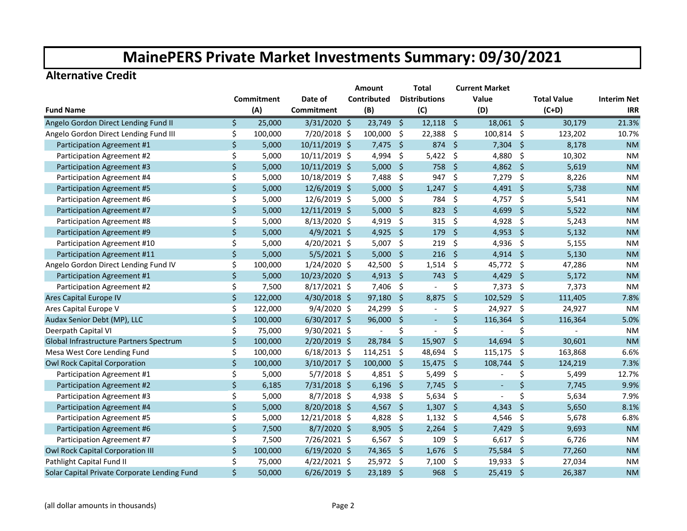#### **Alternative Credit**

|                                              |         |            |                | <b>Amount</b>            |                     | <b>Total</b>             |                    | <b>Current Market</b>    |                     |                    |                    |
|----------------------------------------------|---------|------------|----------------|--------------------------|---------------------|--------------------------|--------------------|--------------------------|---------------------|--------------------|--------------------|
|                                              |         | Commitment | Date of        | Contributed              |                     | <b>Distributions</b>     |                    | Value                    |                     | <b>Total Value</b> | <b>Interim Net</b> |
| <b>Fund Name</b>                             |         | (A)        | Commitment     | (B)                      |                     | (C)                      |                    | (D)                      |                     | $(C+D)$            | <b>IRR</b>         |
| Angelo Gordon Direct Lending Fund II         | Ś.      | 25,000     | $3/31/2020$ \$ | $23,749$ \$              |                     | $12,118$ \$              |                    | $18,061$ \$              |                     | 30,179             | 21.3%              |
| Angelo Gordon Direct Lending Fund III        | \$      | 100,000    | 7/20/2018 \$   | 100,000                  | $\ddot{\mathsf{S}}$ | 22,388                   | $\ddot{\varsigma}$ | 100,814 \$               |                     | 123,202            | 10.7%              |
| Participation Agreement #1                   | \$      | 5,000      | 10/11/2019 \$  | 7,475                    | $\ddot{\mathsf{s}}$ | 874                      | -Ś                 | $7,304$ \$               |                     | 8,178              | <b>NM</b>          |
| Participation Agreement #2                   | \$      | 5,000      | 10/11/2019 \$  | 4,994 \$                 |                     | $5,422$ \$               |                    | 4,880 \$                 |                     | 10,302             | <b>NM</b>          |
| Participation Agreement #3                   | \$      | 5,000      | 10/11/2019 \$  | $5,000$ \$               |                     | 758                      | - \$               | 4,862 \$                 |                     | 5,619              | <b>NM</b>          |
| Participation Agreement #4                   | \$      | 5,000      | 10/18/2019 \$  | 7,488                    | \$                  | 947                      | -\$                | $7,279$ \$               |                     | 8,226              | <b>NM</b>          |
| Participation Agreement #5                   | $\zeta$ | 5,000      | 12/6/2019 \$   | $5,000$ \$               |                     | 1,247                    | -\$                | $4,491$ \$               |                     | 5,738              | <b>NM</b>          |
| Participation Agreement #6                   | \$      | 5,000      | 12/6/2019 \$   | 5,000                    | \$                  | 784                      | -\$                | 4,757 \$                 |                     | 5,541              | <b>NM</b>          |
| Participation Agreement #7                   | $\zeta$ | 5,000      | 12/11/2019 \$  | 5,000                    | $\zeta$             | 823                      | -Ś                 | 4,699                    | $\zeta$             | 5,522              | <b>NM</b>          |
| Participation Agreement #8                   | \$      | 5,000      | 8/13/2020 \$   | 4,919                    | $\zeta$             | 315                      | \$                 | 4,928 \$                 |                     | 5,243              | <b>NM</b>          |
| Participation Agreement #9                   | \$      | 5,000      | $4/9/2021$ \$  | 4,925                    | $\ddot{\mathsf{s}}$ | 179                      | $\ddot{\varsigma}$ | 4,953 \$                 |                     | 5,132              | <b>NM</b>          |
| Participation Agreement #10                  | \$      | 5,000      | 4/20/2021 \$   | 5,007                    | \$                  | 219                      | -\$                | 4,936                    | -\$                 | 5,155              | <b>NM</b>          |
| Participation Agreement #11                  | \$      | 5,000      | $5/5/2021$ \$  | 5,000                    | \$                  | 216                      | -\$                | $4,914$ \$               |                     | 5,130              | <b>NM</b>          |
| Angelo Gordon Direct Lending Fund IV         | \$      | 100,000    | $1/24/2020$ \$ | 42,500                   | \$                  | 1,514                    | -\$                | 45,772 \$                |                     | 47,286             | <b>NM</b>          |
| Participation Agreement #1                   | $\zeta$ | 5,000      | 10/23/2020 \$  | 4,913                    | -Ś                  | 743                      | -Ś                 | 4,429                    | $\ddot{\mathsf{S}}$ | 5,172              | <b>NM</b>          |
| Participation Agreement #2                   | \$      | 7,500      | 8/17/2021 \$   | 7,406                    | -\$                 | $\overline{\phantom{a}}$ | \$                 | $7,373$ \$               |                     | 7,373              | <b>NM</b>          |
| Ares Capital Europe IV                       | \$      | 122,000    | 4/30/2018 \$   | $97,180$ \$              |                     | 8,875                    | -\$                | 102,529 \$               |                     | 111,405            | 7.8%               |
| Ares Capital Europe V                        | \$      | 122,000    | $9/4/2020$ \$  | 24,299                   | -\$                 |                          | \$                 | 24,927 \$                |                     | 24,927             | <b>NM</b>          |
| Audax Senior Debt (MP), LLC                  | $\zeta$ | 100,000    | $6/30/2017$ \$ | 96,000                   | $\zeta$             | $\blacksquare$           | \$                 | 116,364                  | \$                  | 116,364            | 5.0%               |
| Deerpath Capital VI                          | \$      | 75,000     | 9/30/2021 \$   | $\overline{\phantom{a}}$ | \$                  | $\overline{\phantom{a}}$ | \$                 |                          | \$                  |                    | <b>NM</b>          |
| Global Infrastructure Partners Spectrum      | \$      | 100,000    | 2/20/2019 \$   | 28,784                   | $\zeta$             | 15,907                   | $\zeta$            | $14,694$ \$              |                     | 30,601             | <b>NM</b>          |
| Mesa West Core Lending Fund                  | \$      | 100,000    | $6/18/2013$ \$ | $114,251$ \$             |                     | 48,694                   | -\$                | $115,175$ \$             |                     | 163,868            | 6.6%               |
| <b>Owl Rock Capital Corporation</b>          | \$      | 100,000    | 3/10/2017 \$   | 100,000 \$               |                     | 15,475                   | - \$               | 108,744 \$               |                     | 124,219            | 7.3%               |
| Participation Agreement #1                   | \$      | 5,000      | $5/7/2018$ \$  | 4,851 \$                 |                     | 5,499                    | -\$                |                          | \$                  | 5,499              | 12.7%              |
| Participation Agreement #2                   | \$      | 6,185      | 7/31/2018 \$   | $6,196$ \$               |                     | 7,745                    | - \$               | $\overline{\phantom{a}}$ | \$                  | 7,745              | 9.9%               |
| Participation Agreement #3                   | \$      | 5,000      | $8/7/2018$ \$  | 4,938                    | -\$                 | 5,634                    | - \$               |                          | \$                  | 5,634              | 7.9%               |
| Participation Agreement #4                   | \$      | 5,000      | 8/20/2018 \$   | 4,567                    | $\ddot{\varsigma}$  | 1,307                    | -Ś                 | 4,343                    | \$                  | 5,650              | 8.1%               |
| Participation Agreement #5                   | \$      | 5,000      | 12/21/2018 \$  | 4,828                    | Ŝ.                  | $1,132$ \$               |                    | 4,546                    | - \$                | 5,678              | 6.8%               |
| Participation Agreement #6                   | $\zeta$ | 7,500      | $8/7/2020$ \$  | 8,905                    | $\ddot{\mathsf{s}}$ | 2,264                    | - \$               | 7,429 \$                 |                     | 9,693              | <b>NM</b>          |
| Participation Agreement #7                   | \$      | 7,500      | 7/26/2021 \$   | 6,567                    | \$                  | 109                      | -\$                | 6,617                    | - \$                | 6,726              | <b>NM</b>          |
| <b>Owl Rock Capital Corporation III</b>      | \$      | 100,000    | $6/19/2020$ \$ | 74,365                   | - \$                | 1,676                    | -\$                | 75,584                   | $\ddot{\varsigma}$  | 77,260             | <b>NM</b>          |
| Pathlight Capital Fund II                    | \$      | 75,000     | 4/22/2021 \$   | 25,972 \$                |                     | 7,100                    | -\$                | 19,933                   | - \$                | 27,034             | NM                 |
| Solar Capital Private Corporate Lending Fund | Ś.      | 50,000     | $6/26/2019$ \$ | 23,189                   | \$                  | 968                      | $\zeta$            | 25,419                   | $\ddot{\mathsf{s}}$ | 26,387             | <b>NM</b>          |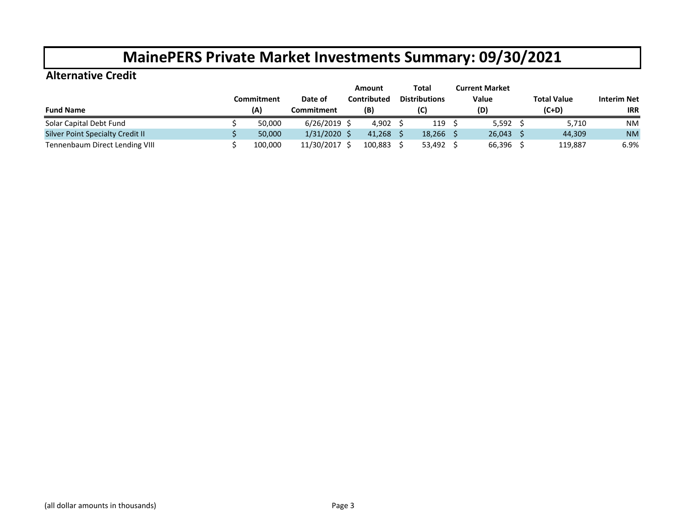#### **Alternative Credit**

|                                  |            |            | Amount      |  | Total                | <b>Current Market</b> |                    |                    |
|----------------------------------|------------|------------|-------------|--|----------------------|-----------------------|--------------------|--------------------|
|                                  | Commitment | Date of    | Contributed |  | <b>Distributions</b> | Value                 | <b>Total Value</b> | <b>Interim Net</b> |
| <b>Fund Name</b>                 | (A)        | Commitment | (B)         |  | (C)                  | (D)                   | $(C+D)$            | <b>IRR</b>         |
| Solar Capital Debt Fund          | 50.000     | 6/26/2019  | 4,902       |  | 119                  | 5,592                 | 5,710              | <b>NM</b>          |
| Silver Point Specialty Credit II | 50.000     | 1/31/2020  | 41,268      |  | 18,266               | 26,043                | 44,309             | <b>NM</b>          |
| Tennenbaum Direct Lending VIII   | 100,000    | 11/30/2017 | 100,883     |  | 53,492               | 66,396                | 119,887            | 6.9%               |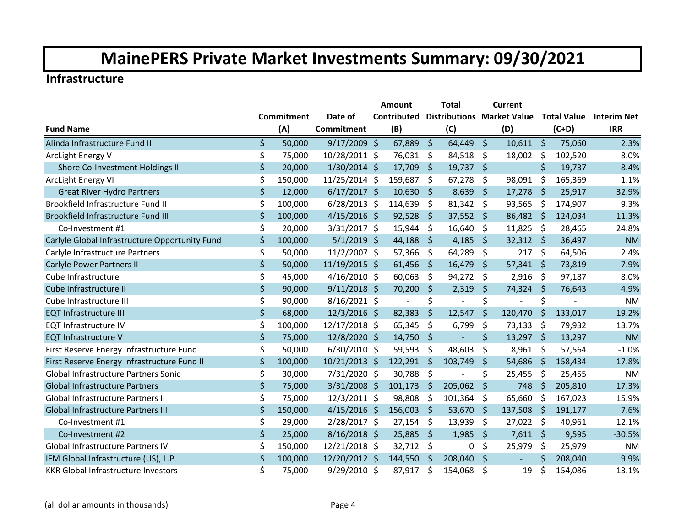#### **Infrastructure**

|                                                |                   |                | Amount                   |             | <b>Total</b>             |             | <b>Current</b>                    |                    |                    |                    |
|------------------------------------------------|-------------------|----------------|--------------------------|-------------|--------------------------|-------------|-----------------------------------|--------------------|--------------------|--------------------|
|                                                | <b>Commitment</b> | Date of        | Contributed              |             |                          |             | <b>Distributions Market Value</b> |                    | <b>Total Value</b> | <b>Interim Net</b> |
| <b>Fund Name</b>                               | (A)               | Commitment     | (B)                      |             | (C)                      |             | (D)                               |                    | $(C+D)$            | <b>IRR</b>         |
| Alinda Infrastructure Fund II                  | \$<br>50,000      | $9/17/2009$ \$ | 67,889                   | $\zeta$     | 64,449                   | $\zeta$     | $10,611$ \$                       |                    | 75,060             | 2.3%               |
| ArcLight Energy V                              | \$<br>75,000      | 10/28/2011 \$  | 76,031                   | \$          | 84,518                   | \$          | 18,002                            | $\ddot{\phi}$      | 102,520            | 8.0%               |
| Shore Co-Investment Holdings II                | \$<br>20,000      | 1/30/2014 \$   | 17,709                   | S.          | $19,737$ \$              |             |                                   | $\zeta$            | 19,737             | 8.4%               |
| ArcLight Energy VI                             | \$<br>150,000     | 11/25/2014 \$  | 159,687                  | \$          | 67,278                   | \$          | 98,091                            | \$                 | 165,369            | 1.1%               |
| <b>Great River Hydro Partners</b>              | \$<br>12,000      | $6/17/2017$ \$ | 10,630                   | Ŝ.          | 8,639                    | \$          | 17,278                            | $\zeta$            | 25,917             | 32.9%              |
| Brookfield Infrastructure Fund II              | \$<br>100,000     | $6/28/2013$ \$ | 114,639                  | \$          | 81,342                   | \$          | 93,565                            | \$                 | 174,907            | 9.3%               |
| Brookfield Infrastructure Fund III             | \$<br>100,000     | $4/15/2016$ \$ | 92,528                   | \$          | 37,552                   | $\zeta$     | 86,482 \$                         |                    | 124,034            | 11.3%              |
| Co-Investment #1                               | \$<br>20,000      | 3/31/2017 \$   | 15,944                   | \$          | 16,640                   | \$          | 11,825                            | \$                 | 28,465             | 24.8%              |
| Carlyle Global Infrastructure Opportunity Fund | \$<br>100,000     | $5/1/2019$ \$  | 44,188                   | $\varsigma$ | 4,185                    | $\sqrt{2}$  | $32,312$ \$                       |                    | 36,497             | <b>NM</b>          |
| Carlyle Infrastructure Partners                | \$<br>50,000      | 11/2/2007 \$   | 57,366                   | \$          | 64,289                   | \$          | 217                               | \$                 | 64,506             | 2.4%               |
| <b>Carlyle Power Partners II</b>               | \$<br>50,000      | 11/19/2015 \$  | 61,456                   | \$          | 16,479                   | \$          | 57,341                            | -\$                | 73,819             | 7.9%               |
| Cube Infrastructure                            | \$<br>45,000      | $4/16/2010$ \$ | 60,063                   | \$          | 94,272                   | \$          | 2,916                             | \$                 | 97,187             | 8.0%               |
| Cube Infrastructure II                         | \$<br>90,000      | $9/11/2018$ \$ | 70,200                   | $\zeta$     | 2,319                    | $\zeta$     | 74,324 \$                         |                    | 76,643             | 4.9%               |
| Cube Infrastructure III                        | \$<br>90,000      | $8/16/2021$ \$ | $\overline{\phantom{a}}$ | \$          | $\overline{\phantom{a}}$ | \$          | $\overline{a}$                    | \$                 |                    | <b>NM</b>          |
| <b>EQT Infrastructure III</b>                  | \$<br>68,000      | 12/3/2016 \$   | 82,383                   | $\zeta$     | 12,547                   | $\zeta$     | 120,470                           | $\zeta$            | 133,017            | 19.2%              |
| <b>EQT Infrastructure IV</b>                   | \$<br>100,000     | 12/17/2018 \$  | 65,345                   | \$          | 6,799                    | \$          | 73,133                            | \$                 | 79,932             | 13.7%              |
| <b>EQT Infrastructure V</b>                    | \$<br>75,000      | 12/8/2020 \$   | 14,750                   | \$          |                          | \$          | 13,297                            | -\$                | 13,297             | <b>NM</b>          |
| First Reserve Energy Infrastructure Fund       | \$<br>50,000      | $6/30/2010$ \$ | 59,593                   | \$          | 48,603                   | \$          | 8,961                             | \$                 | 57,564             | $-1.0%$            |
| First Reserve Energy Infrastructure Fund II    | \$<br>100,000     | 10/21/2013 \$  | 122,291                  | $\zeta$     | 103,749                  | \$          | 54,686                            | $\varsigma$        | 158,434            | 17.8%              |
| Global Infrastructure Partners Sonic           | \$<br>30,000      | 7/31/2020 \$   | 30,788                   | \$          | $\overline{\phantom{a}}$ | \$          | 25,455                            | \$                 | 25,455             | <b>NM</b>          |
| <b>Global Infrastructure Partners</b>          | \$<br>75,000      | $3/31/2008$ \$ | 101,173                  | \$          | 205,062                  | \$          | 748                               | $\zeta$            | 205,810            | 17.3%              |
| <b>Global Infrastructure Partners II</b>       | \$<br>75,000      | $12/3/2011$ \$ | 98,808                   | \$          | 101,364                  | \$          | 65,660                            | \$                 | 167,023            | 15.9%              |
| Global Infrastructure Partners III             | \$<br>150,000     | $4/15/2016$ \$ | 156,003                  | \$          | 53,670                   | $\varsigma$ | 137,508                           | $\zeta$            | 191,177            | 7.6%               |
| Co-Investment #1                               | \$<br>29,000      | 2/28/2017 \$   | 27,154                   | \$          | 13,939                   | \$          | 27,022                            | \$                 | 40,961             | 12.1%              |
| Co-Investment #2                               | \$<br>25,000      | $8/16/2018$ \$ | 25,885                   | $\zeta$     | 1,985                    | $\zeta$     | $7,611$ \$                        |                    | 9,595              | $-30.5%$           |
| Global Infrastructure Partners IV              | \$<br>150,000     | 12/21/2018 \$  | 32,712                   | \$          | 0                        | \$          | 25,979                            | \$                 | 25,979             | <b>NM</b>          |
| IFM Global Infrastructure (US), L.P.           | \$<br>100,000     | 12/20/2012 \$  | 144,550                  | -Ś          | 208,040                  | \$          | $\blacksquare$                    | $\mathsf{\dot{S}}$ | 208,040            | 9.9%               |
| <b>KKR Global Infrastructure Investors</b>     | \$<br>75,000      | 9/29/2010 \$   | 87,917                   | \$          | 154,068                  | \$          | 19                                | \$                 | 154,086            | 13.1%              |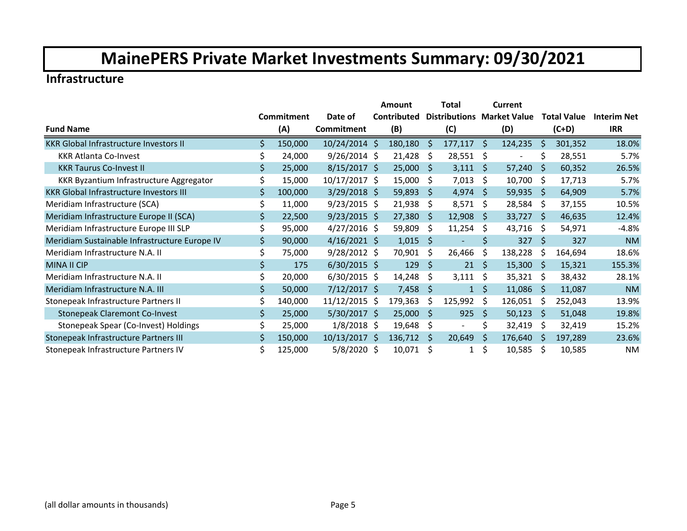#### **Infrastructure**

|                                                |    |            |                 | Amount      |              | Total                             |         | Current                      |              |                    |                    |
|------------------------------------------------|----|------------|-----------------|-------------|--------------|-----------------------------------|---------|------------------------------|--------------|--------------------|--------------------|
|                                                |    | Commitment | Date of         | Contributed |              | <b>Distributions Market Value</b> |         |                              |              | <b>Total Value</b> | <b>Interim Net</b> |
| <b>Fund Name</b>                               |    | (A)        | Commitment      | (B)         |              | (C)                               |         | (D)                          |              | $(C+D)$            | <b>IRR</b>         |
| <b>KKR Global Infrastructure Investors II</b>  | Ś. | 150,000    | 10/24/2014 \$   | 180,180     | Ŝ.           | 177,117                           | Ŝ.      | 124,235                      | \$           | 301,352            | 18.0%              |
| <b>KKR Atlanta Co-Invest</b>                   | \$ | 24,000     | $9/26/2014$ \$  | 21,428      | Ŝ.           | 28,551                            | S       | $\qquad \qquad \blacksquare$ | Ś            | 28,551             | 5.7%               |
| <b>KKR Taurus Co-Invest II</b>                 | \$ | 25,000     | $8/15/2017$ \$  | 25,000      | -S           | 3,111                             | Ŝ.      | 57,240                       | Ŝ.           | 60,352             | 26.5%              |
| KKR Byzantium Infrastructure Aggregator        |    | 15,000     | 10/17/2017 \$   | 15,000      | S            | 7,013                             | \$      | 10,700                       | Ŝ.           | 17,713             | 5.7%               |
| <b>KKR Global Infrastructure Investors III</b> |    | 100,000    | $3/29/2018$ \$  | 59,893      | <sub>S</sub> | 4,974                             | \$      | 59,935                       | \$           | 64,909             | 5.7%               |
| Meridiam Infrastructure (SCA)                  |    | 11,000     | $9/23/2015$ \$  | 21,938      | S.           | 8,571                             | \$      | 28,584                       | \$           | 37,155             | 10.5%              |
| Meridiam Infrastructure Europe II (SCA)        | \$ | 22,500     | $9/23/2015$ \$  | 27,380      | <sub>S</sub> | 12,908                            | S.      | 33,727                       | -S           | 46,635             | 12.4%              |
| Meridiam Infrastructure Europe III SLP         |    | 95,000     | $4/27/2016$ \$  | 59,809      | \$.          | 11,254                            | \$      | 43,716                       | \$           | 54,971             | $-4.8%$            |
| Meridiam Sustainable Infrastructure Europe IV  | \$ | 90,000     | $4/16/2021$ \$  | 1,015       | Ŝ.           | $\blacksquare$                    | \$      | 327                          | \$           | 327                | <b>NM</b>          |
| Meridiam Infrastructure N.A. II                |    | 75,000     | $9/28/2012$ \$  | 70,901      | Ŝ.           | 26,466                            | \$      | 138,228                      | Ŝ.           | 164,694            | 18.6%              |
| <b>MINA II CIP</b>                             | \$ | 175        | $6/30/2015$ \$  | 129         | -S           | 21                                | \$      | 15,300                       | <sub>S</sub> | 15,321             | 155.3%             |
| Meridiam Infrastructure N.A. II                | \$ | 20,000     | $6/30/2015$ \$  | 14,248      | Ŝ.           | 3,111                             | \$      | 35,321                       | - \$         | 38,432             | 28.1%              |
| Meridiam Infrastructure N.A. III               | \$ | 50,000     | $7/12/2017$ \$  | 7,458       | \$           | $\mathbf{1}$                      | $\zeta$ | 11,086                       | Ŝ.           | 11,087             | <b>NM</b>          |
| Stonepeak Infrastructure Partners II           |    | 140,000    | 11/12/2015 \$   | 179,363     | Ŝ.           | 125,992                           | Ŝ.      | 126,051                      | S            | 252,043            | 13.9%              |
| <b>Stonepeak Claremont Co-Invest</b>           | \$ | 25,000     | $5/30/2017$ \$  | 25,000      | -S           | 925                               | \$      | 50,123                       | Ŝ.           | 51,048             | 19.8%              |
| Stonepeak Spear (Co-Invest) Holdings           | Ś. | 25,000     | $1/8/2018$ \$   | 19,648      | \$.          | $\overline{\phantom{0}}$          | \$      | 32,419                       | Ŝ.           | 32,419             | 15.2%              |
| Stonepeak Infrastructure Partners III          | Ś. | 150,000    | $10/13/2017$ \$ | 136,712     | \$           | 20,649                            | \$      | 176,640                      | Ŝ.           | 197,289            | 23.6%              |
| Stonepeak Infrastructure Partners IV           | \$ | 125,000    | 5/8/2020 \$     | 10,071      | \$.          | 1                                 | \$      | 10,585                       | Ŝ.           | 10,585             | ΝM                 |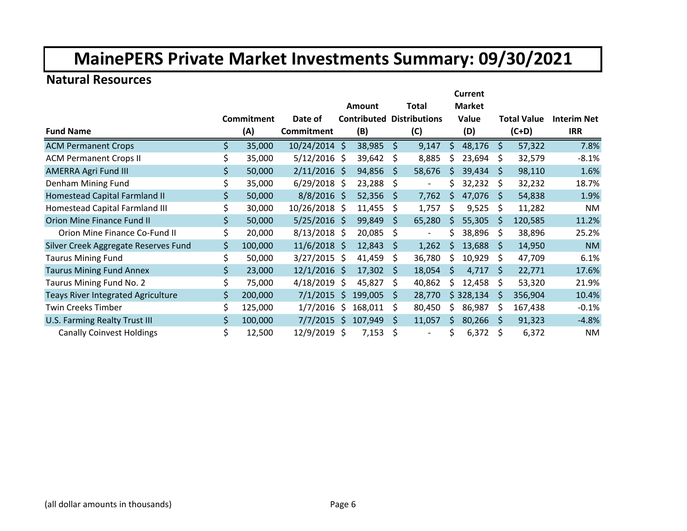#### **Natural Resources**

|                                           |               |                | Current |         |    |                                  |     |               |    |                    |                    |  |  |
|-------------------------------------------|---------------|----------------|---------|---------|----|----------------------------------|-----|---------------|----|--------------------|--------------------|--|--|
|                                           |               |                |         | Amount  |    | <b>Total</b>                     |     | <b>Market</b> |    |                    |                    |  |  |
|                                           | Commitment    | Date of        |         |         |    | <b>Contributed Distributions</b> |     | Value         |    | <b>Total Value</b> | <b>Interim Net</b> |  |  |
| <b>Fund Name</b>                          | (A)           | Commitment     |         | (B)     |    | (C)                              |     | (D)           |    | $(C+D)$            | <b>IRR</b>         |  |  |
| <b>ACM Permanent Crops</b>                | \$<br>35,000  | 10/24/2014 \$  |         | 38,985  | Ŝ. | 9,147                            | Ŝ.  | 48,176        | S. | 57,322             | 7.8%               |  |  |
| <b>ACM Permanent Crops II</b>             | \$<br>35,000  | $5/12/2016$ \$ |         | 39,642  | \$ | 8,885                            | Ś   | 23,694        | \$ | 32,579             | $-8.1%$            |  |  |
| <b>AMERRA Agri Fund III</b>               | \$<br>50,000  | $2/11/2016$ \$ |         | 94,856  | S  | 58,676                           | S   | 39,434        | S. | 98,110             | 1.6%               |  |  |
| Denham Mining Fund                        | \$<br>35,000  | $6/29/2018$ \$ |         | 23,288  | \$ |                                  | Ś   | 32,232        | S  | 32,232             | 18.7%              |  |  |
| Homestead Capital Farmland II             | \$<br>50,000  | $8/8/2016$ \$  |         | 52,356  | Ŝ  | 7,762                            | \$  | 47,076        | S  | 54,838             | 1.9%               |  |  |
| Homestead Capital Farmland III            | \$<br>30,000  | 10/26/2018 \$  |         | 11,455  | Ś  | 1,757                            | Ś   | 9,525         | Ŝ  | 11,282             | ΝM                 |  |  |
| <b>Orion Mine Finance Fund II</b>         | \$<br>50,000  | $5/25/2016$ \$ |         | 99,849  | Ŝ  | 65,280                           | S   | 55,305        | S  | 120,585            | 11.2%              |  |  |
| Orion Mine Finance Co-Fund II             | \$<br>20,000  | $8/13/2018$ \$ |         | 20,085  | \$ |                                  | \$  | 38,896        | S  | 38,896             | 25.2%              |  |  |
| Silver Creek Aggregate Reserves Fund      | \$<br>100,000 | $11/6/2018$ \$ |         | 12,843  | Ŝ  | 1,262                            | Ś   | 13,688        | Ŝ  | 14,950             | <b>NM</b>          |  |  |
| <b>Taurus Mining Fund</b>                 | \$<br>50,000  | $3/27/2015$ \$ |         | 41,459  | \$ | 36,780                           | S   | 10,929        | S  | 47,709             | 6.1%               |  |  |
| <b>Taurus Mining Fund Annex</b>           | \$<br>23,000  | $12/1/2016$ \$ |         | 17,302  | S  | 18,054                           | S   | 4,717         | S  | 22,771             | 17.6%              |  |  |
| Taurus Mining Fund No. 2                  | \$<br>75,000  | $4/18/2019$ \$ |         | 45,827  | \$ | 40,862                           | S   | 12,458        | S  | 53,320             | 21.9%              |  |  |
| <b>Teays River Integrated Agriculture</b> | \$<br>200,000 | $7/1/2015$ \$  |         | 199,005 | Ŝ  | 28,770                           |     | \$328,134     | S  | 356,904            | 10.4%              |  |  |
| <b>Twin Creeks Timber</b>                 | \$<br>125,000 | 1/7/2016       | \$.     | 168,011 | Ś  | 80,450                           | \$. | 86,987        | S  | 167,438            | $-0.1%$            |  |  |
| U.S. Farming Realty Trust III             | \$<br>100,000 | $7/7/2015$ \$  |         | 107,949 | S  | 11,057                           | Ŝ.  | 80,266        | S  | 91,323             | $-4.8%$            |  |  |
| <b>Canally Coinvest Holdings</b>          | \$<br>12,500  | 12/9/2019 \$   |         | 7,153   | \$ |                                  | \$  | 6,372         | Ś  | 6,372              | <b>NM</b>          |  |  |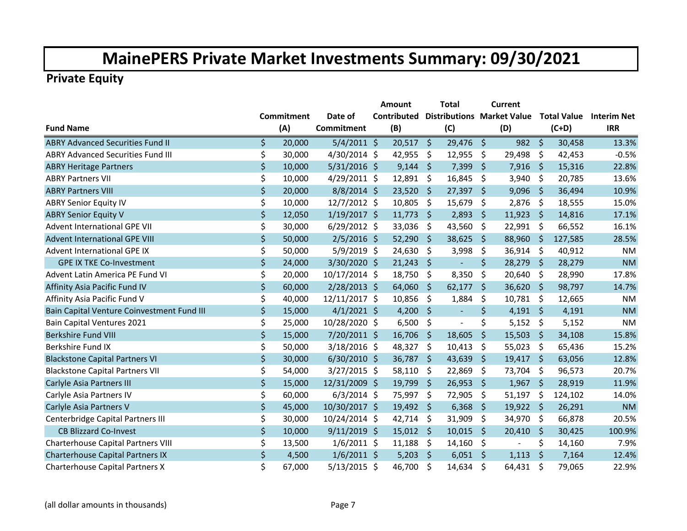|                                            |                   |                   | Amount             |                     | <b>Total</b>                      |         | <b>Current</b> |                    |         |                                |
|--------------------------------------------|-------------------|-------------------|--------------------|---------------------|-----------------------------------|---------|----------------|--------------------|---------|--------------------------------|
|                                            | <b>Commitment</b> | Date of           | <b>Contributed</b> |                     | <b>Distributions Market Value</b> |         |                |                    |         | <b>Total Value</b> Interim Net |
| <b>Fund Name</b>                           | (A)               | <b>Commitment</b> | (B)                |                     | (C)                               |         | (D)            |                    | $(C+D)$ | <b>IRR</b>                     |
| <b>ABRY Advanced Securities Fund II</b>    | \$<br>20,000      | $5/4/2011$ \$     | $20,517$ \$        |                     | 29,476 \$                         |         | $982 \quad $5$ |                    | 30,458  | 13.3%                          |
| <b>ABRY Advanced Securities Fund III</b>   | \$<br>30,000      | 4/30/2014 \$      | 42,955             | $\zeta$             | 12,955                            | \$      | 29,498         | \$                 | 42,453  | $-0.5%$                        |
| <b>ABRY Heritage Partners</b>              | \$<br>10,000      | $5/31/2016$ \$    | 9,144              | $\ddot{\mathsf{S}}$ | 7,399                             | \$      | 7,916          | -\$                | 15,316  | 22.8%                          |
| <b>ABRY Partners VII</b>                   | \$<br>10,000      | 4/29/2011 \$      | 12,891             | \$                  | 16,845                            | \$      | 3,940          | \$                 | 20,785  | 13.6%                          |
| <b>ABRY Partners VIII</b>                  | \$<br>20,000      | $8/8/2014$ \$     | 23,520             | -\$                 | 27,397                            | \$      | 9,096          | $\ddot{\varsigma}$ | 36,494  | 10.9%                          |
| <b>ABRY Senior Equity IV</b>               | \$<br>10,000      | 12/7/2012 \$      | 10,805             | \$                  | 15,679                            | \$      | 2,876          | \$                 | 18,555  | 15.0%                          |
| <b>ABRY Senior Equity V</b>                | \$<br>12,050      | $1/19/2017$ \$    | $11,773$ \$        |                     | 2,893                             | \$.     | 11,923         | - \$               | 14,816  | 17.1%                          |
| <b>Advent International GPE VII</b>        | \$<br>30,000      | $6/29/2012$ \$    | 33,036             | \$                  | 43,560                            | \$      | 22,991 \$      |                    | 66,552  | 16.1%                          |
| <b>Advent International GPE VIII</b>       | \$<br>50,000      | $2/5/2016$ \$     | 52,290             | $\zeta$             | 38,625                            | \$      | 88,960         | $\zeta$            | 127,585 | 28.5%                          |
| Advent International GPE IX                | \$<br>50,000      | $5/9/2019$ \$     | 24,630             | -\$                 | 3,998                             | \$      | 36,914         | \$                 | 40,912  | ΝM                             |
| <b>GPE IX TKE Co-Investment</b>            | \$<br>24,000      | 3/30/2020 \$      | 21,243             | $\zeta$             | $\mathcal{L}^{\pm}$               | \$      | 28,279         | -\$                | 28,279  | <b>NM</b>                      |
| Advent Latin America PE Fund VI            | \$<br>20,000      | 10/17/2014 \$     | 18,750             | \$                  | 8,350                             | \$      | 20,640         | \$                 | 28,990  | 17.8%                          |
| Affinity Asia Pacific Fund IV              | \$<br>60,000      | $2/28/2013$ \$    | 64,060             | $\zeta$             | 62,177                            | $\zeta$ | $36,620$ \$    |                    | 98,797  | 14.7%                          |
| Affinity Asia Pacific Fund V               | \$<br>40,000      | 12/11/2017 \$     | 10,856             | \$                  | 1,884                             | \$      | 10,781         | -\$                | 12,665  | <b>NM</b>                      |
| Bain Capital Venture Coinvestment Fund III | \$<br>15,000      | $4/1/2021$ \$     | 4,200              | \$                  | $\blacksquare$                    | \$      | 4,191 \$       |                    | 4,191   | <b>NM</b>                      |
| <b>Bain Capital Ventures 2021</b>          | \$<br>25,000      | 10/28/2020 \$     | 6,500              | \$                  | $\blacksquare$                    | \$      | 5,152          | \$                 | 5,152   | <b>NM</b>                      |
| <b>Berkshire Fund VIII</b>                 | \$<br>15,000      | 7/20/2011 \$      | 16,706             | -\$                 | 18,605                            | \$      | 15,503         | $\zeta$            | 34,108  | 15.8%                          |
| Berkshire Fund IX                          | \$<br>50,000      | $3/18/2016$ \$    | 48,327 \$          |                     | 10,413                            | \$      | 55,023         | \$                 | 65,436  | 15.2%                          |
| <b>Blackstone Capital Partners VI</b>      | \$<br>30,000      | $6/30/2010$ \$    | 36,787 \$          |                     | 43,639                            | \$      | $19,417$ \$    |                    | 63,056  | 12.8%                          |
| <b>Blackstone Capital Partners VII</b>     | \$<br>54,000      | $3/27/2015$ \$    | 58,110             | \$                  | 22,869                            | \$      | 73,704         | -\$                | 96,573  | 20.7%                          |
| Carlyle Asia Partners III                  | \$<br>15,000      | 12/31/2009 \$     | 19,799             | \$                  | 26,953                            | \$      | 1,967          | $\ddot{\varsigma}$ | 28,919  | 11.9%                          |
| Carlyle Asia Partners IV                   | \$<br>60,000      | $6/3/2014$ \$     | 75,997             | \$                  | 72,905                            | \$      | 51,197         | \$                 | 124,102 | 14.0%                          |
| Carlyle Asia Partners V                    | \$<br>45,000      | 10/30/2017 \$     | $19,492$ \$        |                     | 6,368                             | \$      | $19,922$ \$    |                    | 26,291  | <b>NM</b>                      |
| Centerbridge Capital Partners III          | \$<br>30,000      | 10/24/2014 \$     | 42,714             | -\$                 | 31,909                            | \$      | 34,970         | -\$                | 66,878  | 20.5%                          |
| <b>CB Blizzard Co-Invest</b>               | \$<br>10,000      | $9/11/2019$ \$    | $15,012$ \$        |                     | 10,015                            | $\zeta$ | 20,410         | -\$                | 30,425  | 100.9%                         |
| Charterhouse Capital Partners VIII         | \$<br>13,500      | $1/6/2011$ \$     | 11,188             | $\zeta$             | 14,160                            | \$      | $\blacksquare$ | \$                 | 14,160  | 7.9%                           |
| Charterhouse Capital Partners IX           | \$<br>4,500       | $1/6/2011$ \$     | 5,203              | $\zeta$             | 6,051                             | \$      | 1,113          | -\$                | 7,164   | 12.4%                          |
| Charterhouse Capital Partners X            | \$<br>67,000      | $5/13/2015$ \$    | 46,700             | \$                  | 14,634                            | \$      | 64,431         | \$                 | 79,065  | 22.9%                          |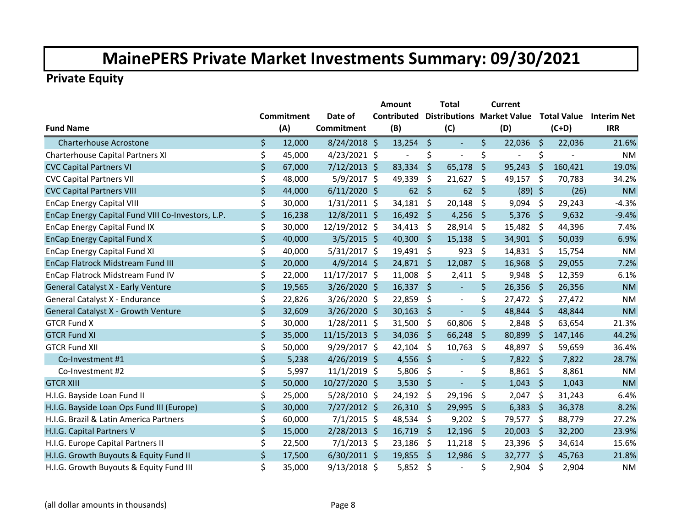|                                                   |                   |                   | <b>Amount</b>            |                     | Total                             |         | Current                  |      |         |                         |
|---------------------------------------------------|-------------------|-------------------|--------------------------|---------------------|-----------------------------------|---------|--------------------------|------|---------|-------------------------|
|                                                   | <b>Commitment</b> | Date of           | Contributed              |                     | <b>Distributions Market Value</b> |         |                          |      |         | Total Value Interim Net |
| <b>Fund Name</b>                                  | (A)               | <b>Commitment</b> | (B)                      |                     | (C)                               |         | (D)                      |      | $(C+D)$ | <b>IRR</b>              |
| <b>Charterhouse Acrostone</b>                     | \$<br>12,000      | $8/24/2018$ \$    | $13,254$ \$              |                     | $\blacksquare$                    | \$      | 22,036                   | -\$  | 22,036  | 21.6%                   |
| Charterhouse Capital Partners XI                  | \$<br>45,000      | $4/23/2021$ \$    | $\overline{\phantom{a}}$ | \$                  | $\blacksquare$                    | \$      | $\overline{\phantom{a}}$ | \$   |         | <b>NM</b>               |
| <b>CVC Capital Partners VI</b>                    | \$<br>67,000      | $7/12/2013$ \$    | 83,334                   | \$                  | 65,178                            | \$      | 95,243                   | \$   | 160,421 | 19.0%                   |
| <b>CVC Capital Partners VII</b>                   | \$<br>48,000      | $5/9/2017$ \$     | 49,339                   | \$                  | 21,627                            | \$      | 49,157                   | \$   | 70,783  | 34.2%                   |
| <b>CVC Capital Partners VIII</b>                  | \$<br>44,000      | $6/11/2020$ \$    | 62                       | \$                  | 62                                | \$      | $(89)$ \$                |      | (26)    | <b>NM</b>               |
| <b>EnCap Energy Capital VIII</b>                  | \$<br>30,000      | $1/31/2011$ \$    | 34,181                   | \$                  | 20,148                            | \$      | 9,094                    | \$   | 29,243  | $-4.3%$                 |
| EnCap Energy Capital Fund VIII Co-Investors, L.P. | \$<br>16,238      | 12/8/2011 \$      | $16,492$ \$              |                     | 4,256                             | \$      | $5,376$ \$               |      | 9,632   | $-9.4%$                 |
| EnCap Energy Capital Fund IX                      | \$<br>30,000      | 12/19/2012 \$     | 34,413                   | \$                  | 28,914                            | \$      | 15,482 \$                |      | 44,396  | 7.4%                    |
| <b>EnCap Energy Capital Fund X</b>                | \$<br>40,000      | $3/5/2015$ \$     | 40,300                   | \$                  | 15,138                            | \$      | 34,901                   | -\$  | 50,039  | 6.9%                    |
| <b>EnCap Energy Capital Fund XI</b>               | \$<br>40,000      | $5/31/2017$ \$    | 19,491                   | \$                  | 923                               | \$      | 14,831                   | -\$  | 15,754  | <b>NM</b>               |
| EnCap Flatrock Midstream Fund III                 | \$<br>20,000      | $4/9/2014$ \$     | 24,871                   | \$.                 | 12,087                            | \$      | 16,968                   | -\$  | 29,055  | 7.2%                    |
| EnCap Flatrock Midstream Fund IV                  | \$<br>22,000      | 11/17/2017 \$     | 11,008                   | \$                  | 2,411                             | \$      | 9,948                    | \$   | 12,359  | 6.1%                    |
| General Catalyst X - Early Venture                | \$<br>19,565      | $3/26/2020$ \$    | 16,337                   | $\ddot{\mathsf{S}}$ | $\blacksquare$                    | \$      | $26,356$ \$              |      | 26,356  | <b>NM</b>               |
| General Catalyst X - Endurance                    | \$<br>22,826      | $3/26/2020$ \$    | 22,859                   | \$                  | $\mathbb{L}$                      | \$      | 27,472 \$                |      | 27,472  | <b>NM</b>               |
| General Catalyst X - Growth Venture               | \$<br>32,609      | 3/26/2020 \$      | 30,163                   | \$                  | $\Box$                            | $\zeta$ | 48,844 \$                |      | 48,844  | <b>NM</b>               |
| <b>GTCR Fund X</b>                                | \$<br>30,000      | $1/28/2011$ \$    | 31,500                   | \$                  | 60,806                            | \$      | 2,848                    | \$   | 63,654  | 21.3%                   |
| <b>GTCR Fund XI</b>                               | \$<br>35,000      | $11/15/2013$ \$   | 34,036                   | \$                  | 66,248                            | \$      | 80,899                   | \$   | 147,146 | 44.2%                   |
| <b>GTCR Fund XII</b>                              | \$<br>50,000      | 9/29/2017 \$      | 42,104                   | \$                  | 10,763                            | \$      | 48,897                   | \$   | 59,659  | 36.4%                   |
| Co-Investment #1                                  | \$<br>5,238       | $4/26/2019$ \$    | 4,556                    | $\ddot{\varsigma}$  | $\blacksquare$                    | \$      | $7,822$ \$               |      | 7,822   | 28.7%                   |
| Co-Investment #2                                  | \$<br>5,997       | $11/1/2019$ \$    | 5,806                    | \$                  | $\blacksquare$                    | \$      | $8,861$ \$               |      | 8,861   | <b>NM</b>               |
| <b>GTCR XIII</b>                                  | \$<br>50,000      | $10/27/2020$ \$   | 3,530                    | \$                  | $\Box$                            | $\zeta$ | 1,043                    | \$   | 1,043   | <b>NM</b>               |
| H.I.G. Bayside Loan Fund II                       | \$<br>25,000      | $5/28/2010$ \$    | 24,192                   | -\$                 | 29,196                            | \$      | 2,047                    | \$   | 31,243  | 6.4%                    |
| H.I.G. Bayside Loan Ops Fund III (Europe)         | \$<br>30,000      | $7/27/2012$ \$    | 26,310                   | \$                  | 29,995                            | \$      | 6,383                    | \$   | 36,378  | 8.2%                    |
| H.I.G. Brazil & Latin America Partners            | \$<br>60,000      | $7/1/2015$ \$     | 48,534                   | -\$                 | 9,202                             | \$      | 79,577                   | \$   | 88,779  | 27.2%                   |
| H.I.G. Capital Partners V                         | \$<br>15,000      | 2/28/2013 \$      | 16,719                   | \$                  | 12,196                            | \$      | 20,003                   | \$   | 32,200  | 23.9%                   |
| H.I.G. Europe Capital Partners II                 | \$<br>22,500      | $7/1/2013$ \$     | 23,186                   | -\$                 | 11,218                            | \$      | 23,396                   | -\$  | 34,614  | 15.6%                   |
| H.I.G. Growth Buyouts & Equity Fund II            | \$<br>17,500      | $6/30/2011$ \$    | 19,855                   | - \$                | 12,986                            | \$      | 32,777                   | - \$ | 45,763  | 21.8%                   |
| H.I.G. Growth Buyouts & Equity Fund III           | \$<br>35,000      | $9/13/2018$ \$    | 5,852                    | -\$                 | L.                                | \$      | 2,904                    | \$   | 2,904   | <b>NM</b>               |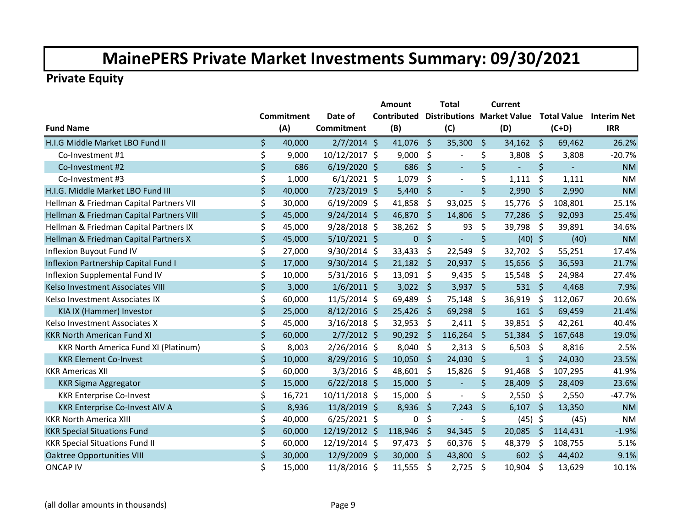|                                             |                   |                   | Amount                                        |              | <b>Total</b>             |                     | <b>Current</b> |         |         |                                |
|---------------------------------------------|-------------------|-------------------|-----------------------------------------------|--------------|--------------------------|---------------------|----------------|---------|---------|--------------------------------|
|                                             | <b>Commitment</b> | Date of           | <b>Contributed Distributions Market Value</b> |              |                          |                     |                |         |         | <b>Total Value</b> Interim Net |
| <b>Fund Name</b>                            | (A)               | <b>Commitment</b> | (B)                                           |              | (C)                      |                     | (D)            |         | $(C+D)$ | <b>IRR</b>                     |
| H.I.G Middle Market LBO Fund II             | \$<br>40,000      | $2/7/2014$ \$     | 41,076 \$                                     |              | 35,300                   | \$                  | $34,162$ \$    |         | 69,462  | 26.2%                          |
| Co-Investment #1                            | \$<br>9,000       | 10/12/2017 \$     | 9,000                                         | \$           | $\blacksquare$           | \$                  | 3,808          | $\zeta$ | 3,808   | $-20.7%$                       |
| Co-Investment #2                            | \$<br>686         | $6/19/2020$ \$    | 686                                           | $\mathsf{S}$ | $\blacksquare$           | \$                  |                | \$      |         | <b>NM</b>                      |
| Co-Investment #3                            | \$<br>1,000       | $6/1/2021$ \$     | 1,079                                         | \$           | $\blacksquare$           | \$                  | 1,111          | \$      | 1,111   | <b>NM</b>                      |
| H.I.G. Middle Market LBO Fund III           | \$<br>40,000      | 7/23/2019 \$      | 5,440                                         | \$           | $\equiv$                 | $\ddot{\mathsf{S}}$ | 2,990          | \$      | 2,990   | <b>NM</b>                      |
| Hellman & Friedman Capital Partners VII     | \$<br>30,000      | $6/19/2009$ \$    | 41,858                                        | \$           | 93,025                   | \$                  | 15,776         | \$      | 108,801 | 25.1%                          |
| Hellman & Friedman Capital Partners VIII    | \$<br>45,000      | $9/24/2014$ \$    | 46,870 \$                                     |              | 14,806                   | \$                  | 77,286         | - \$    | 92,093  | 25.4%                          |
| Hellman & Friedman Capital Partners IX      | \$<br>45,000      | $9/28/2018$ \$    | 38,262 \$                                     |              | 93                       | \$                  | 39,798         | -\$     | 39,891  | 34.6%                          |
| Hellman & Friedman Capital Partners X       | \$<br>45,000      | $5/10/2021$ \$    | $\pmb{0}$                                     | $\zeta$      | $\Box$                   | $\zeta$             | $(40)$ \$      |         | (40)    | <b>NM</b>                      |
| Inflexion Buyout Fund IV                    | \$<br>27,000      | 9/30/2014 \$      | 33,433                                        | \$           | 22,549                   | \$                  | 32,702         | \$      | 55,251  | 17.4%                          |
| Inflexion Partnership Capital Fund I        | \$<br>17,000      | $9/30/2014$ \$    | 21,182                                        | \$           | 20,937                   | \$                  | 15,656         | \$      | 36,593  | 21.7%                          |
| Inflexion Supplemental Fund IV              | \$<br>10,000      | $5/31/2016$ \$    | $13,091$ \$                                   |              | 9,435                    | \$                  | 15,548         | -\$     | 24,984  | 27.4%                          |
| Kelso Investment Associates VIII            | \$<br>3,000       | $1/6/2011$ \$     | $3,022$ \$                                    |              | 3,937                    | \$                  | 531 \$         |         | 4,468   | 7.9%                           |
| Kelso Investment Associates IX              | \$<br>60,000      | $11/5/2014$ \$    | 69,489                                        | -\$          | 75,148                   | \$                  | 36,919         | \$      | 112,067 | 20.6%                          |
| KIA IX (Hammer) Investor                    | \$<br>25,000      | $8/12/2016$ \$    | 25,426                                        | \$           | 69,298                   | \$                  | $161 \quad $5$ |         | 69,459  | 21.4%                          |
| Kelso Investment Associates X               | \$<br>45,000      | $3/16/2018$ \$    | 32,953                                        | \$           | 2,411                    | \$                  | 39,851         | \$      | 42,261  | 40.4%                          |
| <b>KKR North American Fund XI</b>           | \$<br>60,000      | $2/7/2012$ \$     | 90,292                                        | Ŝ.           | 116,264                  | Ŝ.                  | 51,384         | Ŝ.      | 167,648 | 19.0%                          |
| <b>KKR North America Fund XI (Platinum)</b> | \$<br>8,003       | $2/26/2016$ \$    | 8,040                                         | \$           | 2,313                    | \$                  | 6,503          | \$      | 8,816   | 2.5%                           |
| <b>KKR Element Co-Invest</b>                | \$<br>10,000      | $8/29/2016$ \$    | 10,050                                        | \$           | 24,030                   | \$                  | $\mathbf{1}$   | \$      | 24,030  | 23.5%                          |
| <b>KKR Americas XII</b>                     | \$<br>60,000      | $3/3/2016$ \$     | 48,601                                        | -\$          | 15,826                   | \$                  | 91,468         | \$      | 107,295 | 41.9%                          |
| <b>KKR Sigma Aggregator</b>                 | \$<br>15,000      | $6/22/2018$ \$    | 15,000                                        | $\zeta$      | $\equiv$                 | $\zeta$             | 28,409         | $\zeta$ | 28,409  | 23.6%                          |
| <b>KKR Enterprise Co-Invest</b>             | \$<br>16,721      | 10/11/2018 \$     | 15,000                                        | \$           | $\overline{\phantom{a}}$ | \$                  | 2,550          | -\$     | 2,550   | $-47.7%$                       |
| <b>KKR Enterprise Co-Invest AIV A</b>       | \$<br>8,936       | $11/8/2019$ \$    | 8,936                                         | \$           | 7,243                    | \$                  | 6,107          | \$      | 13,350  | <b>NM</b>                      |
| <b>KKR North America XIII</b>               | \$<br>40,000      | $6/25/2021$ \$    | 0                                             | \$           | $\overline{\phantom{0}}$ | \$                  | $(45)$ \$      |         | (45)    | <b>NM</b>                      |
| <b>KKR Special Situations Fund</b>          | \$<br>60,000      | 12/19/2012 \$     | 118,946                                       | \$           | 94,345                   | \$                  | 20,085         | \$      | 114,431 | $-1.9%$                        |
| <b>KKR Special Situations Fund II</b>       | \$<br>60,000      | 12/19/2014 \$     | 97,473                                        | \$           | 60,376                   | \$                  | 48,379         | \$      | 108,755 | 5.1%                           |
| <b>Oaktree Opportunities VIII</b>           | \$<br>30,000      | 12/9/2009 \$      | 30,000                                        | -\$          | 43,800                   | \$                  | $602 \div$     |         | 44,402  | 9.1%                           |
| <b>ONCAP IV</b>                             | \$<br>15,000      | 11/8/2016 \$      | 11,555                                        | \$           | 2,725                    | \$                  | 10,904         | \$      | 13,629  | 10.1%                          |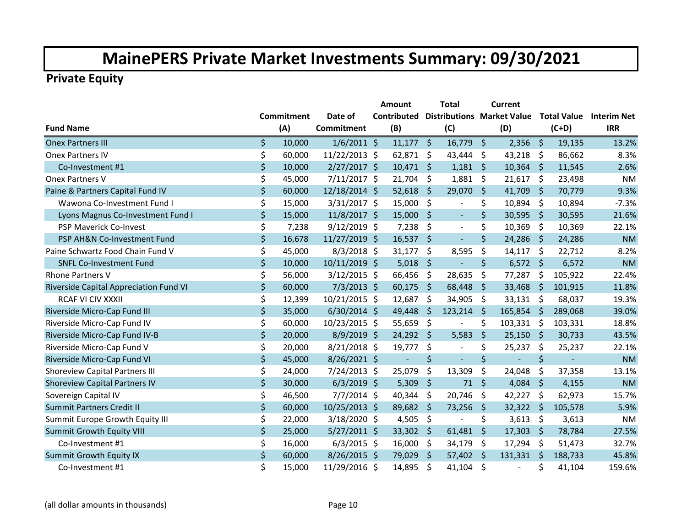|                                        |                   |                   | Amount         |         | <b>Total</b>                      |         | <b>Current</b> |                     |          |                                |
|----------------------------------------|-------------------|-------------------|----------------|---------|-----------------------------------|---------|----------------|---------------------|----------|--------------------------------|
|                                        | <b>Commitment</b> | Date of           | Contributed    |         | <b>Distributions Market Value</b> |         |                |                     |          | <b>Total Value</b> Interim Net |
| <b>Fund Name</b>                       | (A)               | <b>Commitment</b> | (B)            |         | (C)                               |         | (D)            |                     | $(C+D)$  | <b>IRR</b>                     |
| <b>Onex Partners III</b>               | \$<br>10,000      | $1/6/2011$ \$     | $11,177$ \$    |         | $16,779$ \$                       |         | $2,356$ \$     |                     | 19,135   | 13.2%                          |
| <b>Onex Partners IV</b>                | \$<br>60,000      | 11/22/2013 \$     | $62,871$ \$    |         | 43,444                            | \$      | 43,218         | \$                  | 86,662   | 8.3%                           |
| Co-Investment #1                       | \$<br>10,000      | $2/27/2017$ \$    | $10,471$ \$    |         | 1,181                             | $\zeta$ | $10,364$ \$    |                     | 11,545   | 2.6%                           |
| Onex Partners V                        | \$<br>45,000      | $7/11/2017$ \$    | 21,704         | $\zeta$ | 1,881                             | \$      | 21,617         | $\ddot{\mathsf{S}}$ | 23,498   | <b>NM</b>                      |
| Paine & Partners Capital Fund IV       | \$<br>60,000      | 12/18/2014 \$     | 52,618         | \$      | 29,070                            | \$      | 41,709         | \$                  | 70,779   | 9.3%                           |
| Wawona Co-Investment Fund I            | \$<br>15,000      | 3/31/2017 \$      | 15,000         | -\$     | $\blacksquare$                    | \$      | 10,894         | \$                  | 10,894   | $-7.3%$                        |
| Lyons Magnus Co-Investment Fund I      | \$<br>15,000      | 11/8/2017 \$      | 15,000         | - \$    | $\blacksquare$                    | \$      | $30,595$ \$    |                     | 30,595   | 21.6%                          |
| <b>PSP Maverick Co-Invest</b>          | \$<br>7,238       | $9/12/2019$ \$    | 7,238          | \$      | $\blacksquare$                    | \$      | 10,369         | \$                  | 10,369   | 22.1%                          |
| PSP AH&N Co-Investment Fund            | \$<br>16,678      | 11/27/2019 \$     | 16,537         | \$      | $\blacksquare$                    | \$      | 24,286         | -\$                 | 24,286   | <b>NM</b>                      |
| Paine Schwartz Food Chain Fund V       | \$<br>45,000      | $8/3/2018$ \$     | 31,177         | \$      | 8,595                             | \$      | 14,117         | -\$                 | 22,712   | 8.2%                           |
| <b>SNFL Co-Investment Fund</b>         | \$<br>10,000      | $10/11/2019$ \$   | 5,018          | \$      | $\blacksquare$                    | \$      | $6,572$ \$     |                     | 6,572    | <b>NM</b>                      |
| <b>Rhone Partners V</b>                | \$<br>56,000      | $3/12/2015$ \$    | 66,456         | -\$     | 28,635                            | \$      | 77,287         | -\$                 | 105,922  | 22.4%                          |
| Riverside Capital Appreciation Fund VI | \$<br>60,000      | $7/3/2013$ \$     | $60,175$ \$    |         | 68,448                            | $\zeta$ | 33,468         | $\ddot{\mathsf{S}}$ | 101,915  | 11.8%                          |
| RCAF VI CIV XXXII                      | \$<br>12,399      | 10/21/2015 \$     | 12,687         | \$      | 34,905                            | \$      | $33,131$ \$    |                     | 68,037   | 19.3%                          |
| Riverside Micro-Cap Fund III           | \$<br>35,000      | $6/30/2014$ \$    | 49,448         | $\zeta$ | 123,214                           | $\zeta$ | $165,854$ \$   |                     | 289,068  | 39.0%                          |
| Riverside Micro-Cap Fund IV            | \$<br>60,000      | 10/23/2015 \$     | 55,659         | $\zeta$ | $\blacksquare$                    | \$      | 103,331        | \$                  | 103,331  | 18.8%                          |
| Riverside Micro-Cap Fund IV-B          | \$<br>20,000      | 8/9/2019 \$       | 24,292 \$      |         | 5,583                             | \$      | 25,150         | \$                  | 30,733   | 43.5%                          |
| Riverside Micro-Cap Fund V             | \$<br>20,000      | $8/21/2018$ \$    | 19,777         | \$      | $\blacksquare$                    | \$      | 25,237         | \$                  | 25,237   | 22.1%                          |
| Riverside Micro-Cap Fund VI            | \$<br>45,000      | $8/26/2021$ \$    | $\blacksquare$ | \$      | $\equiv$                          | \$      | $\blacksquare$ | \$                  | $\omega$ | <b>NM</b>                      |
| <b>Shoreview Capital Partners III</b>  | \$<br>24,000      | $7/24/2013$ \$    | 25,079         | \$      | 13,309                            | \$      | 24,048         | \$                  | 37,358   | 13.1%                          |
| <b>Shoreview Capital Partners IV</b>   | \$<br>30,000      | $6/3/2019$ \$     | 5,309          | \$      | 71                                | $\zeta$ | 4,084          | $\zeta$             | 4,155    | <b>NM</b>                      |
| Sovereign Capital IV                   | \$<br>46,500      | $7/7/2014$ \$     | 40,344         | \$      | 20,746                            | \$      | 42,227         | \$                  | 62,973   | 15.7%                          |
| <b>Summit Partners Credit II</b>       | \$<br>60,000      | 10/25/2013 \$     | 89,682         | \$      | 73,256                            | \$      | 32,322         | \$                  | 105,578  | 5.9%                           |
| Summit Europe Growth Equity III        | \$<br>22,000      | $3/18/2020$ \$    | 4,505          | \$      | ÷                                 | \$      | 3,613          | \$                  | 3,613    | <b>NM</b>                      |
| <b>Summit Growth Equity VIII</b>       | \$<br>25,000      | $5/27/2011$ \$    | 33,302 \$      |         | 61,481                            | \$      | 17,303         | \$                  | 78,784   | 27.5%                          |
| Co-Investment #1                       | \$<br>16,000      | $6/3/2015$ \$     | $16,000$ \$    |         | 34,179                            | \$      | 17,294         | -\$                 | 51,473   | 32.7%                          |
| <b>Summit Growth Equity IX</b>         | \$<br>60,000      | 8/26/2015 \$      | 79,029         | -\$     | 57,402                            | \$      | 131,331        | - \$                | 188,733  | 45.8%                          |
| Co-Investment #1                       | \$<br>15,000      | 11/29/2016 \$     | 14,895         | \$      | 41,104                            | \$      |                | \$                  | 41,104   | 159.6%                         |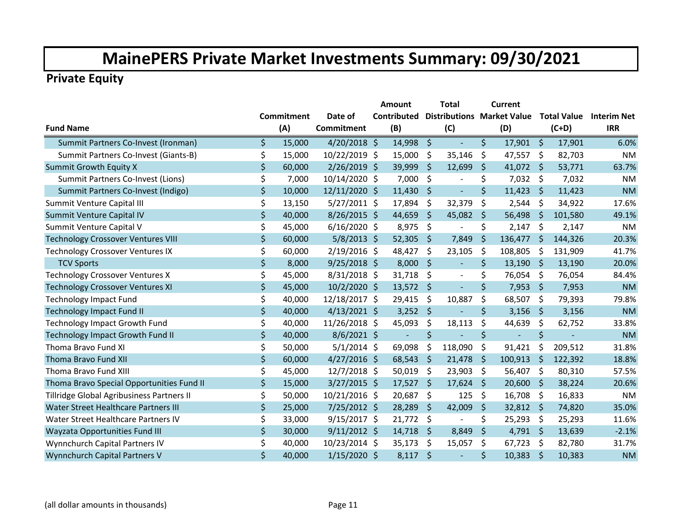|                                           |                   |                   | Amount         |                     | <b>Total</b>                      |         | Current        |         |                    |                    |
|-------------------------------------------|-------------------|-------------------|----------------|---------------------|-----------------------------------|---------|----------------|---------|--------------------|--------------------|
|                                           | <b>Commitment</b> | Date of           | Contributed    |                     | <b>Distributions Market Value</b> |         |                |         | <b>Total Value</b> | <b>Interim Net</b> |
| <b>Fund Name</b>                          | (A)               | <b>Commitment</b> | (B)            |                     | (C)                               |         | (D)            |         | $(C+D)$            | <b>IRR</b>         |
| Summit Partners Co-Invest (Ironman)       | \$<br>15,000      | $4/20/2018$ \$    | 14,998         | $\ddot{\mathsf{S}}$ | $\blacksquare$                    | \$      | 17,901         | - \$    | 17,901             | 6.0%               |
| Summit Partners Co-Invest (Giants-B)      | \$<br>15,000      | 10/22/2019 \$     | 15,000         | \$                  | 35,146                            | \$      | 47,557         | $\zeta$ | 82,703             | <b>NM</b>          |
| <b>Summit Growth Equity X</b>             | \$<br>60,000      | $2/26/2019$ \$    | 39,999         | \$                  | 12,699                            | \$      | 41,072         | \$      | 53,771             | 63.7%              |
| Summit Partners Co-Invest (Lions)         | \$<br>7,000       | 10/14/2020 \$     | 7,000          | \$                  | $\overline{\phantom{a}}$          | \$      | 7,032          | \$      | 7,032              | <b>NM</b>          |
| Summit Partners Co-Invest (Indigo)        | \$<br>10,000      | 12/11/2020 \$     | 11,430         | \$                  | $\blacksquare$                    | $\zeta$ | 11,423         | \$      | 11,423             | <b>NM</b>          |
| Summit Venture Capital III                | \$<br>13,150      | $5/27/2011$ \$    | 17,894         | \$                  | 32,379                            | \$      | 2,544          | \$      | 34,922             | 17.6%              |
| Summit Venture Capital IV                 | \$<br>40,000      | $8/26/2015$ \$    | 44,659         | \$                  | 45,082                            | \$      | 56,498         | \$      | 101,580            | 49.1%              |
| Summit Venture Capital V                  | \$<br>45,000      | $6/16/2020$ \$    | 8,975          | \$                  | $\overline{\phantom{a}}$          | \$      | 2,147          | \$      | 2,147              | <b>NM</b>          |
| <b>Technology Crossover Ventures VIII</b> | \$<br>60,000      | $5/8/2013$ \$     | 52,305         | \$                  | 7,849                             | \$      | 136,477        | \$      | 144,326            | 20.3%              |
| <b>Technology Crossover Ventures IX</b>   | \$<br>60,000      | $2/19/2016$ \$    | 48,427         | \$                  | 23,105                            | \$      | 108,805        | \$      | 131,909            | 41.7%              |
| <b>TCV Sports</b>                         | \$<br>8,000       | $9/25/2018$ \$    | 8,000          | Ŝ.                  | $\blacksquare$                    | \$      | 13,190         | \$      | 13,190             | 20.0%              |
| <b>Technology Crossover Ventures X</b>    | \$<br>45,000      | $8/31/2018$ \$    | 31,718         | \$,                 | $\blacksquare$                    | \$      | 76,054         | \$      | 76,054             | 84.4%              |
| <b>Technology Crossover Ventures XI</b>   | \$<br>45,000      | 10/2/2020 \$      | 13,572         | \$                  | $\blacksquare$                    | $\zeta$ | 7,953          | \$      | 7,953              | <b>NM</b>          |
| <b>Technology Impact Fund</b>             | \$<br>40,000      | 12/18/2017 \$     | 29,415         | \$                  | 10,887                            | \$      | 68,507         | \$      | 79,393             | 79.8%              |
| <b>Technology Impact Fund II</b>          | \$<br>40,000      | $4/13/2021$ \$    | 3,252          | -\$                 | ÷,                                | $\zeta$ | 3,156          | \$      | 3,156              | <b>NM</b>          |
| <b>Technology Impact Growth Fund</b>      | \$<br>40,000      | 11/26/2018 \$     | 45,093         | \$                  | 18,113                            | \$      | 44,639         | \$      | 62,752             | 33.8%              |
| <b>Technology Impact Growth Fund II</b>   | \$<br>40,000      | $8/6/2021$ \$     | $\blacksquare$ | \$                  | $\overline{\phantom{0}}$          | $\zeta$ | $\blacksquare$ | \$      | $\blacksquare$     | <b>NM</b>          |
| Thoma Bravo Fund XI                       | \$<br>50,000      | $5/1/2014$ \$     | 69,098         | \$                  | 118,090                           | \$      | 91,421         | \$      | 209,512            | 31.8%              |
| Thoma Bravo Fund XII                      | \$<br>60,000      | $4/27/2016$ \$    | 68,543         | \$                  | 21,478                            | $\zeta$ | 100,913        | \$      | 122,392            | 18.8%              |
| Thoma Bravo Fund XIII                     | \$<br>45,000      | $12/7/2018$ \$    | 50,019         | \$                  | 23,903                            | \$      | 56,407         | \$      | 80,310             | 57.5%              |
| Thoma Bravo Special Opportunities Fund II | \$<br>15,000      | $3/27/2015$ \$    | 17,527         | \$                  | 17,624                            | \$      | 20,600         | \$      | 38,224             | 20.6%              |
| Tillridge Global Agribusiness Partners II | \$<br>50,000      | 10/21/2016 \$     | 20,687         | \$                  | 125                               | \$      | 16,708         | -S      | 16,833             | <b>NM</b>          |
| Water Street Healthcare Partners III      | \$<br>25,000      | 7/25/2012 \$      | 28,289         | \$                  | 42,009                            | \$      | 32,812 \$      |         | 74,820             | 35.0%              |
| Water Street Healthcare Partners IV       | \$<br>33,000      | $9/15/2017$ \$    | 21,772         | -\$                 | ÷                                 | \$      | 25,293         | -\$     | 25,293             | 11.6%              |
| Wayzata Opportunities Fund III            | \$<br>30,000      | $9/11/2012$ \$    | 14,718         | \$                  | 8,849                             | \$      | 4,791          | $\zeta$ | 13,639             | $-2.1%$            |
| Wynnchurch Capital Partners IV            | \$<br>40,000      | 10/23/2014 \$     | 35,173         | \$                  | 15,057                            | \$      | 67,723         | \$      | 82,780             | 31.7%              |
| Wynnchurch Capital Partners V             | \$<br>40,000      | $1/15/2020$ \$    | 8,117          | $\zeta$             | ÷,                                | $\zeta$ | 10,383         | \$      | 10,383             | <b>NM</b>          |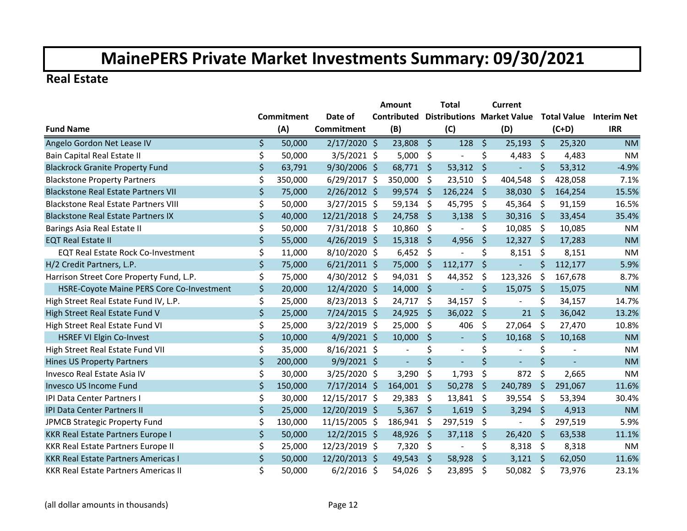#### **Real Estate**

|                                             |                   |         |                   | Amount      |                | <b>Total</b> |                | Current                           |                          |                    |                |                    |
|---------------------------------------------|-------------------|---------|-------------------|-------------|----------------|--------------|----------------|-----------------------------------|--------------------------|--------------------|----------------|--------------------|
|                                             | <b>Commitment</b> |         | Date of           | Contributed |                |              |                | <b>Distributions Market Value</b> |                          | <b>Total Value</b> |                | <b>Interim Net</b> |
| <b>Fund Name</b>                            |                   | (A)     | <b>Commitment</b> |             | (B)            |              | (C)            |                                   | (D)                      |                    | $(C+D)$        | <b>IRR</b>         |
| Angelo Gordon Net Lease IV                  | \$                | 50,000  | $2/17/2020$ \$    |             | 23,808         | \$           | 128            | \$                                | 25,193                   | -\$                | 25,320         | <b>NM</b>          |
| Bain Capital Real Estate II                 | \$                | 50,000  | $3/5/2021$ \$     |             | 5,000          | \$           | $\mathbf{r}$   | \$                                | 4,483                    | \$                 | 4,483          | <b>NM</b>          |
| <b>Blackrock Granite Property Fund</b>      | \$                | 63,791  | 9/30/2006 \$      |             | 68,771 \$      |              | 53,312         | $\zeta$                           |                          | $\zeta$            | 53,312         | $-4.9%$            |
| <b>Blackstone Property Partners</b>         | \$                | 350,000 | $6/29/2017$ \$    |             | 350,000        | \$           | 23,510         | \$                                | 404,548                  | \$                 | 428,058        | 7.1%               |
| <b>Blackstone Real Estate Partners VII</b>  | \$                | 75,000  | $2/26/2012$ \$    |             | 99,574         | Ŝ.           | 126,224        | -Ś                                | 38,030                   | Ŝ.                 | 164,254        | 15.5%              |
| <b>Blackstone Real Estate Partners VIII</b> | \$                | 50,000  | $3/27/2015$ \$    |             | 59,134         | \$           | 45,795         | \$                                | 45,364                   | \$                 | 91,159         | 16.5%              |
| <b>Blackstone Real Estate Partners IX</b>   | \$                | 40,000  | 12/21/2018 \$     |             | 24,758         | $\varsigma$  | 3,138          | \$                                | 30,316 \$                |                    | 33,454         | 35.4%              |
| Barings Asia Real Estate II                 | \$                | 50,000  | 7/31/2018 \$      |             | 10,860         | \$           | $\blacksquare$ | \$                                | 10,085                   | - \$               | 10,085         | <b>NM</b>          |
| <b>EQT Real Estate II</b>                   | $\zeta$           | 55,000  | $4/26/2019$ \$    |             | 15,318         | \$           | 4,956          | \$                                | $12,327$ \$              |                    | 17,283         | <b>NM</b>          |
| <b>EQT Real Estate Rock Co-Investment</b>   | \$                | 11,000  | 8/10/2020 \$      |             | 6,452          | \$           |                | \$                                | 8,151                    | -\$                | 8,151          | <b>NM</b>          |
| H/2 Credit Partners, L.P.                   | \$                | 75,000  | $6/21/2011$ \$    |             | 75,000         | \$           | 112,177        | \$                                | $\blacksquare$           | \$                 | 112,177        | 5.9%               |
| Harrison Street Core Property Fund, L.P.    | \$                | 75,000  | 4/30/2012 \$      |             | 94,031         | \$           | 44,352         | \$                                | 123,326                  | \$                 | 167,678        | 8.7%               |
| HSRE-Coyote Maine PERS Core Co-Investment   | $\zeta$           | 20,000  | 12/4/2020 \$      |             | 14,000         | - \$         | $\blacksquare$ | \$                                | 15,075                   | $\zeta$            | 15,075         | <b>NM</b>          |
| High Street Real Estate Fund IV, L.P.       | \$                | 25,000  | 8/23/2013 \$      |             | 24,717         | \$           | 34,157         | \$                                | $\overline{\phantom{a}}$ | \$                 | 34,157         | 14.7%              |
| High Street Real Estate Fund V              | \$                | 25,000  | 7/24/2015 \$      |             | 24,925         | - \$         | 36,022         | $\zeta$                           | 21                       | $\zeta$            | 36,042         | 13.2%              |
| High Street Real Estate Fund VI             | \$                | 25,000  | $3/22/2019$ \$    |             | 25,000         | \$           | 406            | \$                                | 27,064                   | \$                 | 27,470         | 10.8%              |
| <b>HSREF VI Elgin Co-Invest</b>             | \$                | 10,000  | $4/9/2021$ \$     |             | 10,000         | \$           | $\equiv$       | \$                                | 10,168                   | -\$                | 10,168         | <b>NM</b>          |
| High Street Real Estate Fund VII            | \$                | 35,000  | $8/16/2021$ \$    |             | $\overline{a}$ | \$           | $\blacksquare$ | \$                                |                          | \$                 |                | <b>NM</b>          |
| <b>Hines US Property Partners</b>           | \$                | 200,000 | $9/9/2021$ \$     |             | $\blacksquare$ | \$           | $\blacksquare$ | \$                                | $\blacksquare$           | \$                 | $\blacksquare$ | <b>NM</b>          |
| Invesco Real Estate Asia IV                 | \$                | 30,000  | 3/25/2020 \$      |             | 3,290          | \$           | 1,793          | \$                                | 872                      | \$                 | 2,665          | <b>NM</b>          |
| <b>Invesco US Income Fund</b>               | \$                | 150,000 | $7/17/2014$ \$    |             | 164,001        | \$           | 50,278         | \$                                | 240,789                  | $\zeta$            | 291,067        | 11.6%              |
| <b>IPI Data Center Partners I</b>           | \$                | 30,000  | 12/15/2017 \$     |             | 29,383         | \$           | 13,841         | \$                                | 39,554                   | \$                 | 53,394         | 30.4%              |
| <b>IPI Data Center Partners II</b>          | $\zeta$           | 25,000  | 12/20/2019 \$     |             | 5,367          | \$           | 1,619          | \$                                | 3,294                    | \$                 | 4,913          | <b>NM</b>          |
| JPMCB Strategic Property Fund               | \$                | 130,000 | 11/15/2005 \$     |             | 186,941        | \$           | 297,519        | \$                                |                          | \$                 | 297,519        | 5.9%               |
| KKR Real Estate Partners Europe I           | $\zeta$           | 50,000  | $12/2/2015$ \$    |             | 48,926         | \$           | 37,118         | \$                                | 26,420                   | \$                 | 63,538         | 11.1%              |
| <b>KKR Real Estate Partners Europe II</b>   | \$                | 25,000  | 12/23/2019 \$     |             | 7,320          | -\$          |                | \$                                | 8,318                    | \$                 | 8,318          | <b>NM</b>          |
| <b>KKR Real Estate Partners Americas I</b>  | \$                | 50,000  | 12/20/2013 \$     |             | 49,543         | Ŝ.           | 58,928         | \$                                | $3,121$ \$               |                    | 62,050         | 11.6%              |
| <b>KKR Real Estate Partners Americas II</b> | \$                | 50,000  | $6/2/2016$ \$     |             | 54,026         | \$           | 23,895         | \$                                | 50,082                   | -\$                | 73,976         | 23.1%              |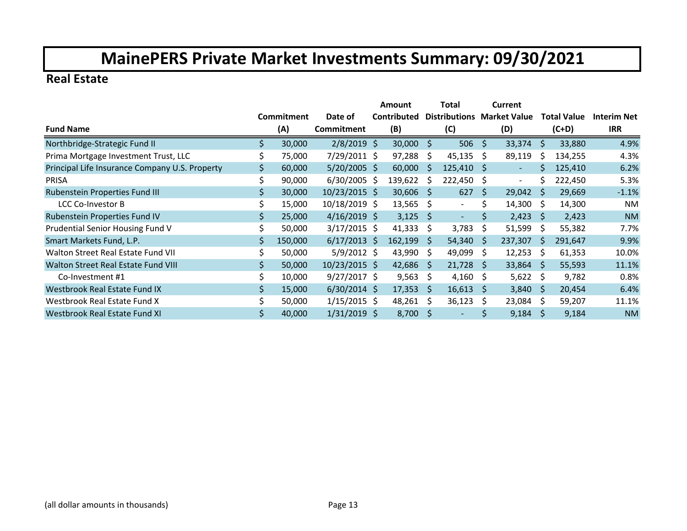#### **Real Estate**

|                                                |    |                   |                  | <b>Amount</b> |              | Total                |    | Current                  |              |                    |                    |
|------------------------------------------------|----|-------------------|------------------|---------------|--------------|----------------------|----|--------------------------|--------------|--------------------|--------------------|
|                                                |    | <b>Commitment</b> | Date of          | Contributed   |              | <b>Distributions</b> |    | <b>Market Value</b>      |              | <b>Total Value</b> | <b>Interim Net</b> |
| <b>Fund Name</b>                               |    | (A)               | Commitment       | (B)           |              | (C)                  |    | (D)                      |              | $(C+D)$            | <b>IRR</b>         |
| Northbridge-Strategic Fund II                  | Ś  | 30,000            | $2/8/2019$ \$    | 30,000        | \$           | 506                  | \$ | 33,374                   | \$           | 33,880             | 4.9%               |
| Prima Mortgage Investment Trust, LLC           |    | 75,000            | 7/29/2011 \$     | 97,288        | \$           | 45,135               | Ŝ. | 89,119                   | Ś            | 134,255            | 4.3%               |
| Principal Life Insurance Company U.S. Property |    | 60,000            | $5/20/2005$ \$   | 60,000        | <sup>S</sup> | 125,410              | -S | $\overline{\phantom{a}}$ | Ś.           | 125,410            | 6.2%               |
| <b>PRISA</b>                                   |    | 90,000            | $6/30/2005$ \$   | 139,622       | S            | 222,450              | S  | $\overline{\phantom{a}}$ | Ś            | 222,450            | 5.3%               |
| Rubenstein Properties Fund III                 | \$ | 30,000            | 10/23/2015 \$    | 30,606        | <sub>S</sub> | 627                  | \$ | 29,042                   | S            | 29,669             | $-1.1%$            |
| <b>LCC Co-Investor B</b>                       |    | 15,000            | 10/18/2019 \$    | 13,565        | Ŝ.           | $\sim$               | \$ | 14,300                   | Ŝ.           | 14,300             | <b>NM</b>          |
| Rubenstein Properties Fund IV                  |    | 25,000            | $4/16/2019$ \$   | 3,125         | <sub>S</sub> | $\sim$               | \$ | 2,423                    | S.           | 2,423              | <b>NM</b>          |
| Prudential Senior Housing Fund V               |    | 50,000            | $3/17/2015$ \$   | 41,333        | S            | 3,783                | \$ | 51,599                   | S            | 55,382             | 7.7%               |
| Smart Markets Fund, L.P.                       | \$ | 150,000           | $6/17/2013$ \$   | 162,199       | <sub>S</sub> | 54,340               | -S | 237,307                  | S.           | 291,647            | 9.9%               |
| Walton Street Real Estate Fund VII             | \$ | 50,000            | $5/9/2012 \;$ \$ | 43,990        | S            | 49,099               | S  | 12,253                   | S            | 61,353             | 10.0%              |
| Walton Street Real Estate Fund VIII            | \$ | 50,000            | $10/23/2015$ \$  | 42,686        | <sub>S</sub> | 21,728               | -S | 33,864                   | -S           | 55,593             | 11.1%              |
| Co-Investment #1                               | \$ | 10,000            | $9/27/2017$ \$   | 9,563         | S.           | 4,160                | S. | 5,622 \$                 |              | 9,782              | 0.8%               |
| Westbrook Real Estate Fund IX                  | \$ | 15,000            | $6/30/2014$ \$   | 17,353        | <sub>S</sub> | 16,613               | S. | 3,840                    | -S           | 20,454             | 6.4%               |
| Westbrook Real Estate Fund X                   | Ś  | 50,000            | $1/15/2015$ \$   | 48,261        | S            | 36,123               | \$ | 23,084                   | -S           | 59,207             | 11.1%              |
| Westbrook Real Estate Fund XI                  |    | 40,000            | $1/31/2019$ \$   | 8,700         | <sub>S</sub> |                      | Ś  | 9,184                    | <sub>S</sub> | 9,184              | <b>NM</b>          |